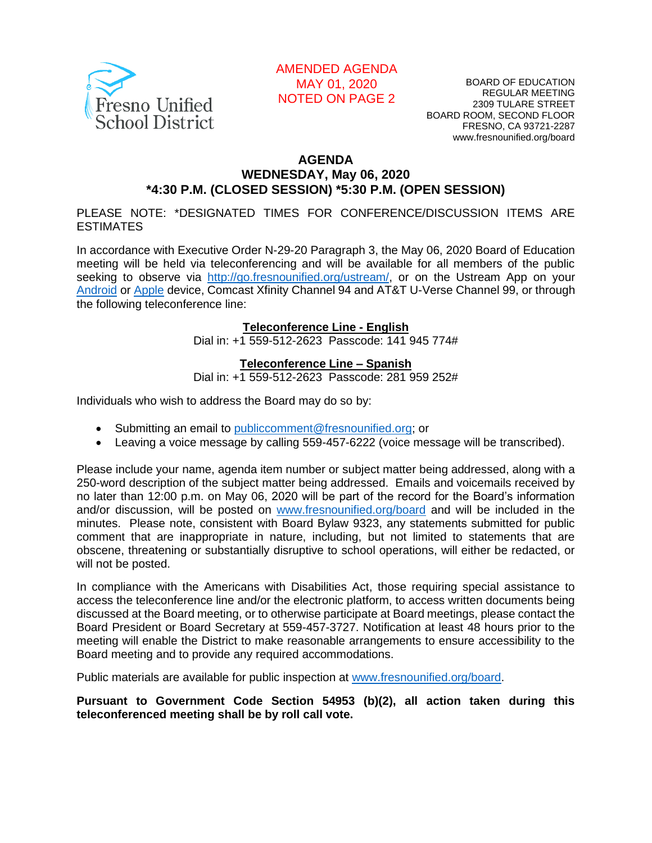

## AMENDED AGENDA MAY 01, 2020 NOTED ON PAGE 2

BOARD OF EDUCATION REGULAR MEETING 2309 TULARE STREET BOARD ROOM, SECOND FLOOR FRESNO, CA 93721-2287 www.fresnounified.org/board

#### **AGENDA WEDNESDAY, May 06, 2020 \*4:30 P.M. (CLOSED SESSION) \*5:30 P.M. (OPEN SESSION)**

PLEASE NOTE: \*DESIGNATED TIMES FOR CONFERENCE/DISCUSSION ITEMS ARE ESTIMATES

In accordance with Executive Order N-29-20 Paragraph 3, the May 06, 2020 Board of Education meeting will be held via teleconferencing and will be available for all members of the public seeking to observe via [http://go.fresnounified.org/ustream/,](http://go.fresnounified.org/ustream/) or on the Ustream App on your [Android](https://play.google.com/store/apps/details?id=tv.ustream.ustream&hl=en_US) or [Apple](https://itunes.apple.com/us/app/ustream/id301520250?mt=8) device, Comcast Xfinity Channel 94 and AT&T U-Verse Channel 99, or through the following teleconference line:

#### **Teleconference Line - English**

Dial in: +1 559-512-2623 Passcode: 141 945 774#

#### **Teleconference Line – Spanish**

Dial in: +1 559-512-2623 Passcode: 281 959 252#

Individuals who wish to address the Board may do so by:

- Submitting an email to [publiccomment@fresnounified.org;](mailto:publiccomment@fresnounified.org) or
- Leaving a voice message by calling 559-457-6222 (voice message will be transcribed).

Please include your name, agenda item number or subject matter being addressed, along with a 250-word description of the subject matter being addressed. Emails and voicemails received by no later than 12:00 p.m. on May 06, 2020 will be part of the record for the Board's information and/or discussion, will be posted on [www.fresnounified.org/board](http://www.fresnounified.org/board) and will be included in the minutes. Please note, consistent with Board Bylaw 9323, any statements submitted for public comment that are inappropriate in nature, including, but not limited to statements that are obscene, threatening or substantially disruptive to school operations, will either be redacted, or will not be posted.

In compliance with the Americans with Disabilities Act, those requiring special assistance to access the teleconference line and/or the electronic platform, to access written documents being discussed at the Board meeting, or to otherwise participate at Board meetings, please contact the Board President or Board Secretary at 559-457-3727. Notification at least 48 hours prior to the meeting will enable the District to make reasonable arrangements to ensure accessibility to the Board meeting and to provide any required accommodations.

Public materials are available for public inspection at [www.fresnounified.org/board.](http://www.fresnounified.org/board)

**Pursuant to Government Code Section 54953 (b)(2), all action taken during this teleconferenced meeting shall be by roll call vote.**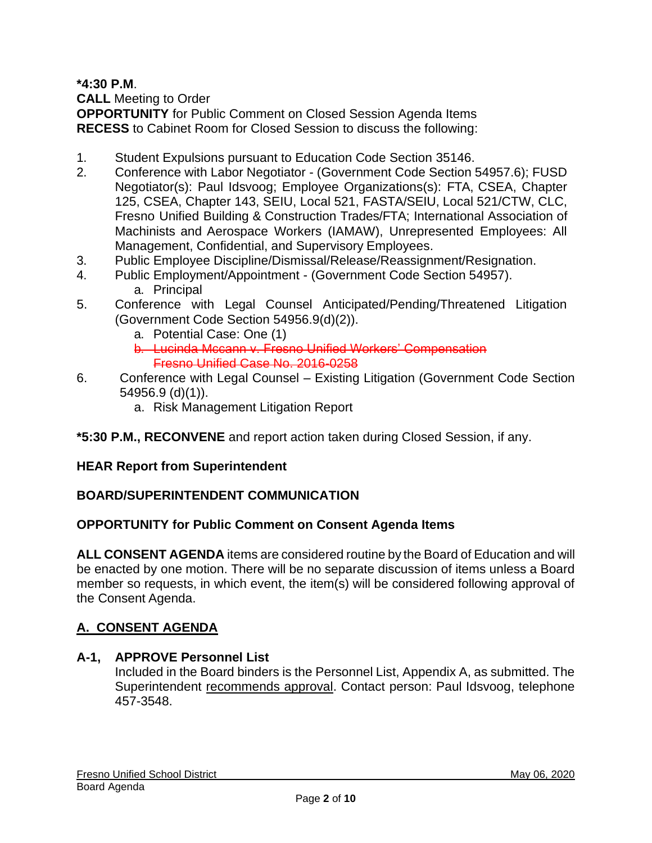**\*4:30 P.M**.

**CALL** Meeting to Order

**OPPORTUNITY** for Public Comment on Closed Session Agenda Items **RECESS** to Cabinet Room for Closed Session to discuss the following:

- 1. Student Expulsions pursuant to Education Code Section 35146.
- 2. Conference with Labor Negotiator (Government Code Section 54957.6); FUSD Negotiator(s): Paul Idsvoog; Employee Organizations(s): FTA, CSEA, Chapter 125, CSEA, Chapter 143, SEIU, Local 521, FASTA/SEIU, Local 521/CTW, CLC, Fresno Unified Building & Construction Trades/FTA; International Association of Machinists and Aerospace Workers (IAMAW), Unrepresented Employees: All Management, Confidential, and Supervisory Employees.
- 3. Public Employee Discipline/Dismissal/Release/Reassignment/Resignation.
- 4. Public Employment/Appointment (Government Code Section 54957). a. Principal
- 5. Conference with Legal Counsel Anticipated/Pending/Threatened Litigation (Government Code Section 54956.9(d)(2)).
	- a. Potential Case: One (1)
	- b. Lucinda Mccann v. Fresno Unified Workers' Compensation Fresno Unified Case No. 2016-0258
- 6. Conference with Legal Counsel Existing Litigation (Government Code Section 54956.9 (d)(1)).
	- a. Risk Management Litigation Report

## **\*5:30 P.M., RECONVENE** and report action taken during Closed Session, if any.

# **HEAR Report from Superintendent**

## **BOARD/SUPERINTENDENT COMMUNICATION**

## **OPPORTUNITY for Public Comment on Consent Agenda Items**

**ALL CONSENT AGENDA** items are considered routine by the Board of Education and will be enacted by one motion. There will be no separate discussion of items unless a Board member so requests, in which event, the item(s) will be considered following approval of the Consent Agenda.

# **A. CONSENT AGENDA**

## **A-1, APPROVE Personnel List**

Included in the Board binders is the Personnel List, Appendix A, as submitted. The Superintendent recommends approval. Contact person: Paul Idsvoog, telephone 457-3548.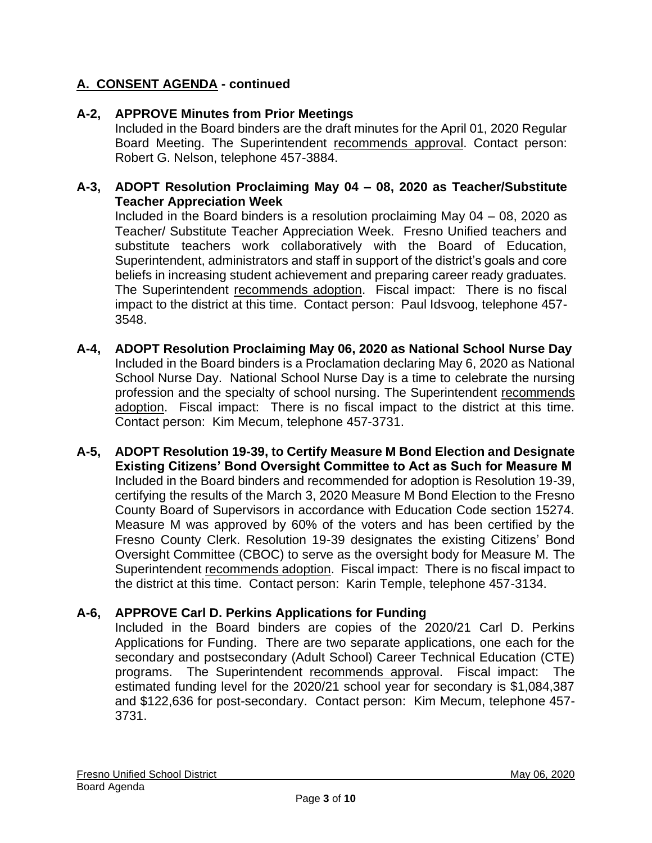## **A-2, APPROVE Minutes from Prior Meetings**

Included in the Board binders are the draft minutes for the April 01, 2020 Regular Board Meeting. The Superintendent recommends approval. Contact person: Robert G. Nelson, telephone 457-3884.

### **A-3, ADOPT Resolution Proclaiming May 04 – 08, 2020 as Teacher/Substitute Teacher Appreciation Week**

Included in the Board binders is a resolution proclaiming May 04 – 08, 2020 as Teacher/ Substitute Teacher Appreciation Week. Fresno Unified teachers and substitute teachers work collaboratively with the Board of Education, Superintendent, administrators and staff in support of the district's goals and core beliefs in increasing student achievement and preparing career ready graduates. The Superintendent recommends adoption. Fiscal impact: There is no fiscal impact to the district at this time. Contact person: Paul Idsvoog, telephone 457- 3548.

- **A-4, ADOPT Resolution Proclaiming May 06, 2020 as National School Nurse Day** Included in the Board binders is a Proclamation declaring May 6, 2020 as National School Nurse Day. National School Nurse Day is a time to celebrate the nursing profession and the specialty of school nursing. The Superintendent recommends adoption. Fiscal impact: There is no fiscal impact to the district at this time. Contact person: Kim Mecum, telephone 457-3731.
- **A-5, ADOPT Resolution 19-39, to Certify Measure M Bond Election and Designate Existing Citizens' Bond Oversight Committee to Act as Such for Measure M** Included in the Board binders and recommended for adoption is Resolution 19-39, certifying the results of the March 3, 2020 Measure M Bond Election to the Fresno County Board of Supervisors in accordance with Education Code section 15274. Measure M was approved by 60% of the voters and has been certified by the Fresno County Clerk. Resolution 19-39 designates the existing Citizens' Bond Oversight Committee (CBOC) to serve as the oversight body for Measure M. The Superintendent recommends adoption. Fiscal impact: There is no fiscal impact to the district at this time. Contact person: Karin Temple, telephone 457-3134.

## **A-6, APPROVE Carl D. Perkins Applications for Funding**

Included in the Board binders are copies of the 2020/21 Carl D. Perkins Applications for Funding. There are two separate applications, one each for the secondary and postsecondary (Adult School) Career Technical Education (CTE) programs. The Superintendent recommends approval. Fiscal impact: The estimated funding level for the 2020/21 school year for secondary is \$1,084,387 and \$122,636 for post-secondary. Contact person: Kim Mecum, telephone 457- 3731.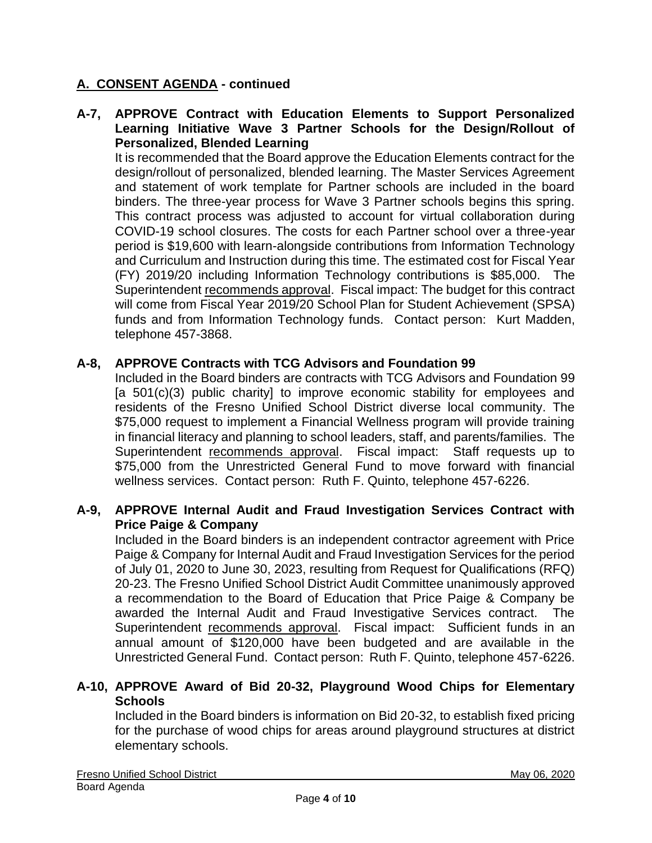### **A-7, APPROVE Contract with Education Elements to Support Personalized Learning Initiative Wave 3 Partner Schools for the Design/Rollout of Personalized, Blended Learning**

It is recommended that the Board approve the Education Elements contract for the design/rollout of personalized, blended learning. The Master Services Agreement and statement of work template for Partner schools are included in the board binders. The three-year process for Wave 3 Partner schools begins this spring. This contract process was adjusted to account for virtual collaboration during COVID-19 school closures. The costs for each Partner school over a three-year period is \$19,600 with learn-alongside contributions from Information Technology and Curriculum and Instruction during this time. The estimated cost for Fiscal Year (FY) 2019/20 including Information Technology contributions is \$85,000. The Superintendent recommends approval. Fiscal impact: The budget for this contract will come from Fiscal Year 2019/20 School Plan for Student Achievement (SPSA) funds and from Information Technology funds. Contact person: Kurt Madden, telephone 457-3868.

### **A-8, APPROVE Contracts with TCG Advisors and Foundation 99**

Included in the Board binders are contracts with TCG Advisors and Foundation 99 [a 501(c)(3) public charity] to improve economic stability for employees and residents of the Fresno Unified School District diverse local community. The \$75,000 request to implement a Financial Wellness program will provide training in financial literacy and planning to school leaders, staff, and parents/families. The Superintendent recommends approval. Fiscal impact: Staff requests up to \$75,000 from the Unrestricted General Fund to move forward with financial wellness services. Contact person: Ruth F. Quinto, telephone 457-6226.

### **A-9, APPROVE Internal Audit and Fraud Investigation Services Contract with Price Paige & Company**

Included in the Board binders is an independent contractor agreement with Price Paige & Company for Internal Audit and Fraud Investigation Services for the period of July 01, 2020 to June 30, 2023, resulting from Request for Qualifications (RFQ) 20-23. The Fresno Unified School District Audit Committee unanimously approved a recommendation to the Board of Education that Price Paige & Company be awarded the Internal Audit and Fraud Investigative Services contract. The Superintendent recommends approval. Fiscal impact: Sufficient funds in an annual amount of \$120,000 have been budgeted and are available in the Unrestricted General Fund. Contact person: Ruth F. Quinto, telephone 457-6226.

### **A-10, APPROVE Award of Bid 20-32, Playground Wood Chips for Elementary Schools**

Included in the Board binders is information on Bid 20-32, to establish fixed pricing for the purchase of wood chips for areas around playground structures at district elementary schools.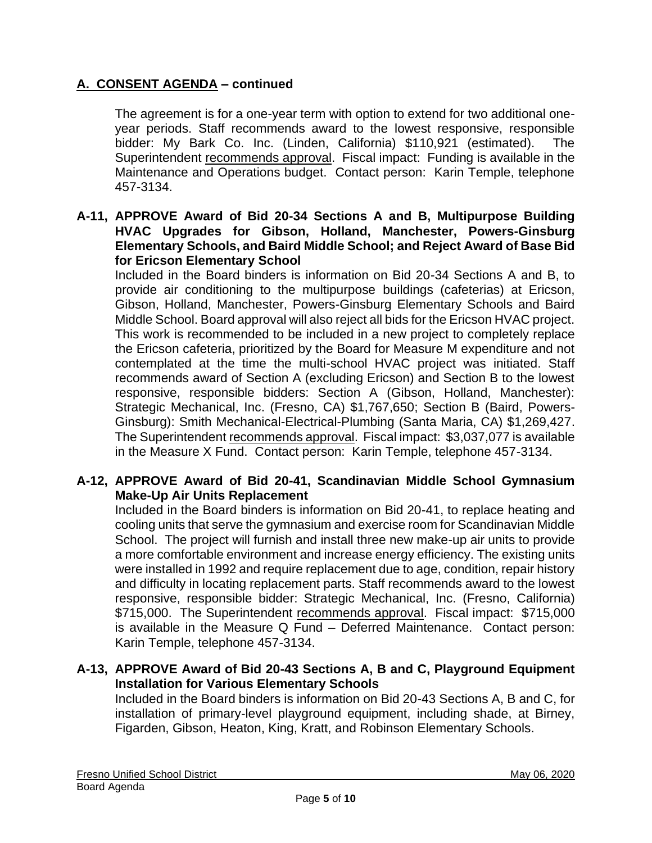The agreement is for a one-year term with option to extend for two additional oneyear periods. Staff recommends award to the lowest responsive, responsible bidder: My Bark Co. Inc. (Linden, California) \$110,921 (estimated). The Superintendent recommends approval. Fiscal impact: Funding is available in the Maintenance and Operations budget. Contact person: Karin Temple, telephone 457-3134.

### **A-11, APPROVE Award of Bid 20-34 Sections A and B, Multipurpose Building HVAC Upgrades for Gibson, Holland, Manchester, Powers-Ginsburg Elementary Schools, and Baird Middle School; and Reject Award of Base Bid for Ericson Elementary School**

Included in the Board binders is information on Bid 20-34 Sections A and B, to provide air conditioning to the multipurpose buildings (cafeterias) at Ericson, Gibson, Holland, Manchester, Powers-Ginsburg Elementary Schools and Baird Middle School. Board approval will also reject all bids for the Ericson HVAC project. This work is recommended to be included in a new project to completely replace the Ericson cafeteria, prioritized by the Board for Measure M expenditure and not contemplated at the time the multi-school HVAC project was initiated. Staff recommends award of Section A (excluding Ericson) and Section B to the lowest responsive, responsible bidders: Section A (Gibson, Holland, Manchester): Strategic Mechanical, Inc. (Fresno, CA) \$1,767,650; Section B (Baird, Powers-Ginsburg): Smith Mechanical-Electrical-Plumbing (Santa Maria, CA) \$1,269,427. The Superintendent recommends approval. Fiscal impact: \$3,037,077 is available in the Measure X Fund. Contact person: Karin Temple, telephone 457-3134.

### **A-12, APPROVE Award of Bid 20-41, Scandinavian Middle School Gymnasium Make-Up Air Units Replacement**

Included in the Board binders is information on Bid 20-41, to replace heating and cooling units that serve the gymnasium and exercise room for Scandinavian Middle School. The project will furnish and install three new make-up air units to provide a more comfortable environment and increase energy efficiency. The existing units were installed in 1992 and require replacement due to age, condition, repair history and difficulty in locating replacement parts. Staff recommends award to the lowest responsive, responsible bidder: Strategic Mechanical, Inc. (Fresno, California) \$715,000. The Superintendent recommends approval. Fiscal impact: \$715,000 is available in the Measure Q Fund – Deferred Maintenance. Contact person: Karin Temple, telephone 457-3134.

### **A-13, APPROVE Award of Bid 20-43 Sections A, B and C, Playground Equipment Installation for Various Elementary Schools**

Included in the Board binders is information on Bid 20-43 Sections A, B and C, for installation of primary-level playground equipment, including shade, at Birney, Figarden, Gibson, Heaton, King, Kratt, and Robinson Elementary Schools.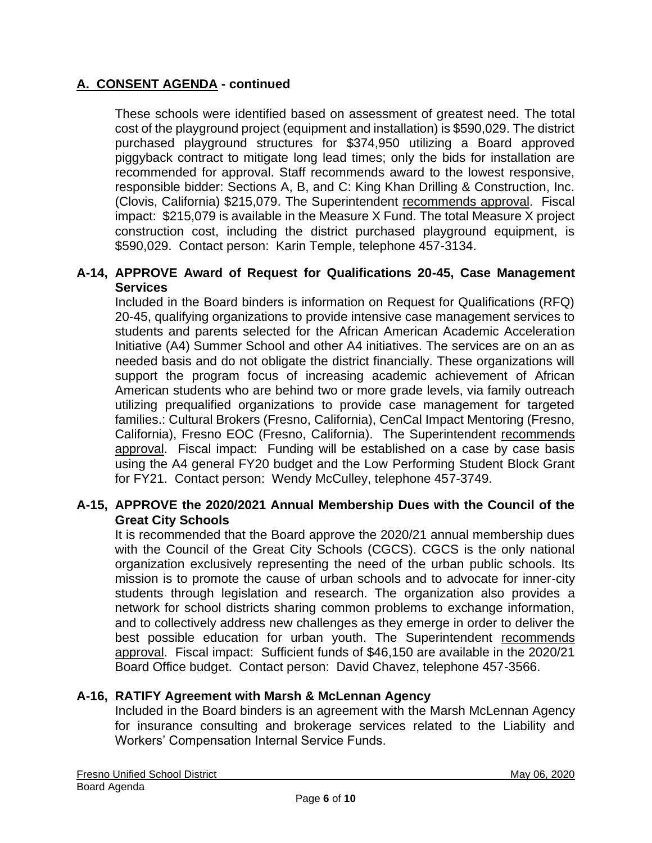These schools were identified based on assessment of greatest need. The total cost of the playground project (equipment and installation) is \$590,029. The district purchased playground structures for \$374,950 utilizing a Board approved piggyback contract to mitigate long lead times; only the bids for installation are recommended for approval. Staff recommends award to the lowest responsive, responsible bidder: Sections A, B, and C: King Khan Drilling & Construction, Inc. (Clovis, California) \$215,079. The Superintendent recommends approval. Fiscal impact: \$215,079 is available in the Measure X Fund. The total Measure X project construction cost, including the district purchased playground equipment, is \$590,029. Contact person: Karin Temple, telephone 457-3134.

### **A-14, APPROVE Award of Request for Qualifications 20-45, Case Management Services**

Included in the Board binders is information on Request for Qualifications (RFQ) 20-45, qualifying organizations to provide intensive case management services to students and parents selected for the African American Academic Acceleration Initiative (A4) Summer School and other A4 initiatives. The services are on an as needed basis and do not obligate the district financially. These organizations will support the program focus of increasing academic achievement of African American students who are behind two or more grade levels, via family outreach utilizing prequalified organizations to provide case management for targeted families.: Cultural Brokers (Fresno, California), CenCal Impact Mentoring (Fresno, California), Fresno EOC (Fresno, California). The Superintendent recommends approval. Fiscal impact: Funding will be established on a case by case basis using the A4 general FY20 budget and the Low Performing Student Block Grant for FY21. Contact person: Wendy McCulley, telephone 457-3749.

### **A-15, APPROVE the 2020/2021 Annual Membership Dues with the Council of the Great City Schools**

It is recommended that the Board approve the 2020/21 annual membership dues with the Council of the Great City Schools (CGCS). CGCS is the only national organization exclusively representing the need of the urban public schools. Its mission is to promote the cause of urban schools and to advocate for inner-city students through legislation and research. The organization also provides a network for school districts sharing common problems to exchange information, and to collectively address new challenges as they emerge in order to deliver the best possible education for urban youth. The Superintendent recommends approval. Fiscal impact: Sufficient funds of \$46,150 are available in the 2020/21 Board Office budget. Contact person: David Chavez, telephone 457-3566.

## **A-16, RATIFY Agreement with Marsh & McLennan Agency**

Included in the Board binders is an agreement with the Marsh McLennan Agency for insurance consulting and brokerage services related to the Liability and Workers' Compensation Internal Service Funds.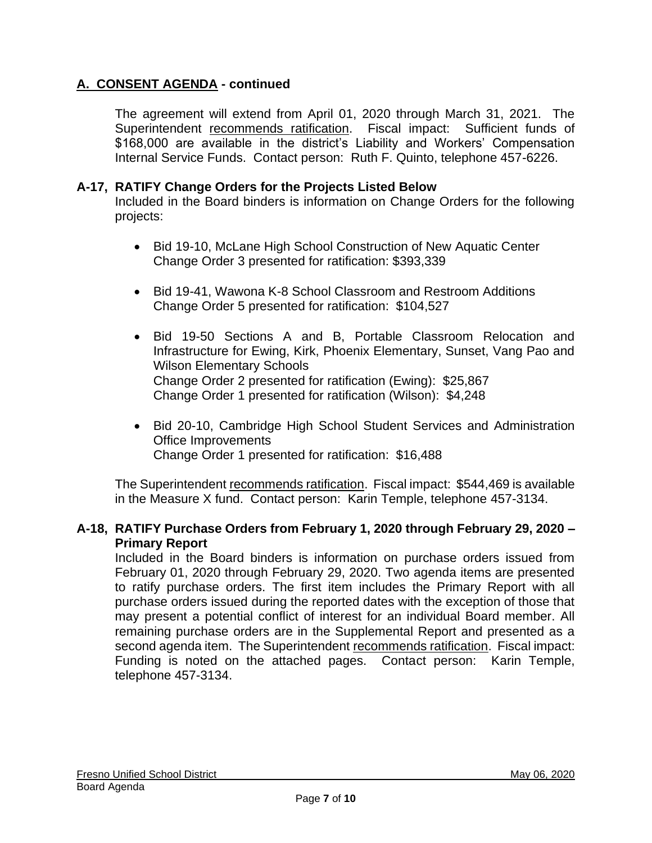The agreement will extend from April 01, 2020 through March 31, 2021. The Superintendent recommends ratification. Fiscal impact: Sufficient funds of \$168,000 are available in the district's Liability and Workers' Compensation Internal Service Funds. Contact person: Ruth F. Quinto, telephone 457-6226.

### **A-17, RATIFY Change Orders for the Projects Listed Below**

Included in the Board binders is information on Change Orders for the following projects:

- Bid 19-10, McLane High School Construction of New Aquatic Center Change Order 3 presented for ratification: \$393,339
- Bid 19-41, Wawona K-8 School Classroom and Restroom Additions Change Order 5 presented for ratification: \$104,527
- Bid 19-50 Sections A and B, Portable Classroom Relocation and Infrastructure for Ewing, Kirk, Phoenix Elementary, Sunset, Vang Pao and Wilson Elementary Schools Change Order 2 presented for ratification (Ewing): \$25,867 Change Order 1 presented for ratification (Wilson): \$4,248
- Bid 20-10, Cambridge High School Student Services and Administration Office Improvements Change Order 1 presented for ratification: \$16,488

The Superintendent recommends ratification. Fiscal impact: \$544,469 is available in the Measure X fund. Contact person: Karin Temple, telephone 457-3134.

## **A-18, RATIFY Purchase Orders from February 1, 2020 through February 29, 2020 – Primary Report**

Included in the Board binders is information on purchase orders issued from February 01, 2020 through February 29, 2020. Two agenda items are presented to ratify purchase orders. The first item includes the Primary Report with all purchase orders issued during the reported dates with the exception of those that may present a potential conflict of interest for an individual Board member. All remaining purchase orders are in the Supplemental Report and presented as a second agenda item. The Superintendent recommends ratification. Fiscal impact: Funding is noted on the attached pages. Contact person: Karin Temple, telephone 457-3134.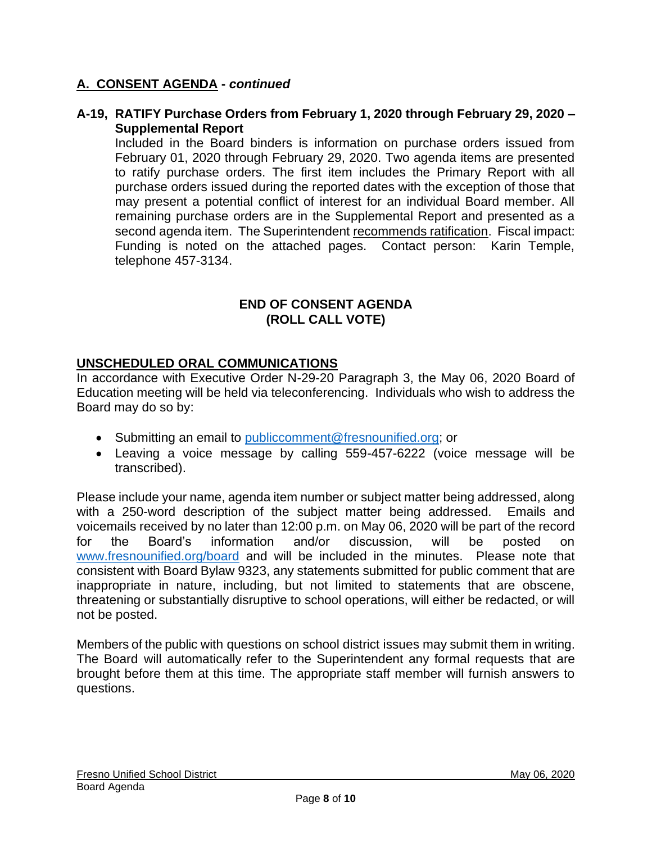### **A-19, RATIFY Purchase Orders from February 1, 2020 through February 29, 2020 – Supplemental Report**

Included in the Board binders is information on purchase orders issued from February 01, 2020 through February 29, 2020. Two agenda items are presented to ratify purchase orders. The first item includes the Primary Report with all purchase orders issued during the reported dates with the exception of those that may present a potential conflict of interest for an individual Board member. All remaining purchase orders are in the Supplemental Report and presented as a second agenda item. The Superintendent recommends ratification. Fiscal impact: Funding is noted on the attached pages. Contact person: Karin Temple, telephone 457-3134.

### **END OF CONSENT AGENDA (ROLL CALL VOTE)**

## **UNSCHEDULED ORAL COMMUNICATIONS**

In accordance with Executive Order N-29-20 Paragraph 3, the May 06, 2020 Board of Education meeting will be held via teleconferencing. Individuals who wish to address the Board may do so by:

- Submitting an email to [publiccomment@fresnounified.org;](mailto:publiccomment@fresnounified.org) or
- Leaving a voice message by calling 559-457-6222 (voice message will be transcribed).

Please include your name, agenda item number or subject matter being addressed, along with a 250-word description of the subject matter being addressed. Emails and voicemails received by no later than 12:00 p.m. on May 06, 2020 will be part of the record for the Board's information and/or discussion, will be posted on [www.fresnounified.org/board](http://www.fresnounified.org/board) and will be included in the minutes. Please note that consistent with Board Bylaw 9323, any statements submitted for public comment that are inappropriate in nature, including, but not limited to statements that are obscene, threatening or substantially disruptive to school operations, will either be redacted, or will not be posted.

Members of the public with questions on school district issues may submit them in writing. The Board will automatically refer to the Superintendent any formal requests that are brought before them at this time. The appropriate staff member will furnish answers to questions.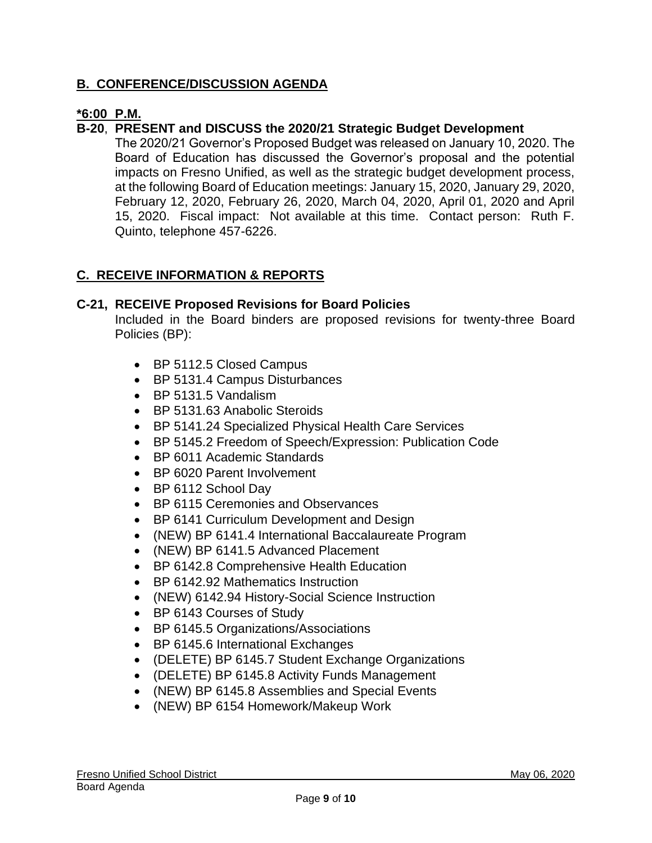## **B. CONFERENCE/DISCUSSION AGENDA**

## **\*6:00 P.M.**

### **B-20**, **PRESENT and DISCUSS the 2020/21 Strategic Budget Development**

The 2020/21 Governor's Proposed Budget was released on January 10, 2020. The Board of Education has discussed the Governor's proposal and the potential impacts on Fresno Unified, as well as the strategic budget development process, at the following Board of Education meetings: January 15, 2020, January 29, 2020, February 12, 2020, February 26, 2020, March 04, 2020, April 01, 2020 and April 15, 2020. Fiscal impact: Not available at this time. Contact person: Ruth F. Quinto, telephone 457-6226.

## **C. RECEIVE INFORMATION & REPORTS**

### **C-21, RECEIVE Proposed Revisions for Board Policies**

Included in the Board binders are proposed revisions for twenty-three Board Policies (BP):

- BP 5112.5 Closed Campus
- BP 5131.4 Campus Disturbances
- BP 5131.5 Vandalism
- BP 5131.63 Anabolic Steroids
- BP 5141.24 Specialized Physical Health Care Services
- BP 5145.2 Freedom of Speech/Expression: Publication Code
- BP 6011 Academic Standards
- BP 6020 Parent Involvement
- BP 6112 School Day
- BP 6115 Ceremonies and Observances
- BP 6141 Curriculum Development and Design
- (NEW) BP 6141.4 International Baccalaureate Program
- (NEW) BP 6141.5 Advanced Placement
- BP 6142.8 Comprehensive Health Education
- BP 6142.92 Mathematics Instruction
- (NEW) 6142.94 History-Social Science Instruction
- BP 6143 Courses of Study
- BP 6145.5 Organizations/Associations
- BP 6145.6 International Exchanges
- (DELETE) BP 6145.7 Student Exchange Organizations
- (DELETE) BP 6145.8 Activity Funds Management
- (NEW) BP 6145.8 Assemblies and Special Events
- (NEW) BP 6154 Homework/Makeup Work